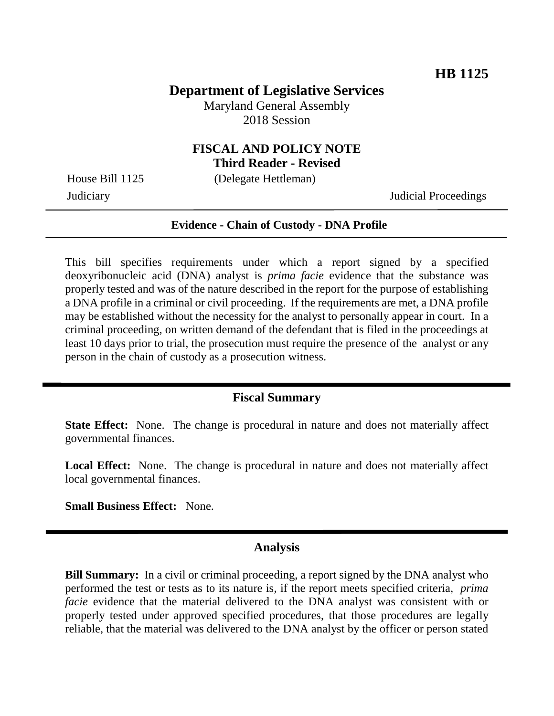## **Department of Legislative Services**

Maryland General Assembly 2018 Session

## **FISCAL AND POLICY NOTE Third Reader - Revised**

House Bill 1125 (Delegate Hettleman)

Judiciary Judicial Proceedings

#### **Evidence - Chain of Custody - DNA Profile**

This bill specifies requirements under which a report signed by a specified deoxyribonucleic acid (DNA) analyst is *prima facie* evidence that the substance was properly tested and was of the nature described in the report for the purpose of establishing a DNA profile in a criminal or civil proceeding. If the requirements are met, a DNA profile may be established without the necessity for the analyst to personally appear in court. In a criminal proceeding, on written demand of the defendant that is filed in the proceedings at least 10 days prior to trial, the prosecution must require the presence of the analyst or any person in the chain of custody as a prosecution witness.

#### **Fiscal Summary**

**State Effect:** None. The change is procedural in nature and does not materially affect governmental finances.

Local Effect: None. The change is procedural in nature and does not materially affect local governmental finances.

**Small Business Effect:** None.

### **Analysis**

**Bill Summary:** In a civil or criminal proceeding, a report signed by the DNA analyst who performed the test or tests as to its nature is, if the report meets specified criteria, *prima facie* evidence that the material delivered to the DNA analyst was consistent with or properly tested under approved specified procedures, that those procedures are legally reliable, that the material was delivered to the DNA analyst by the officer or person stated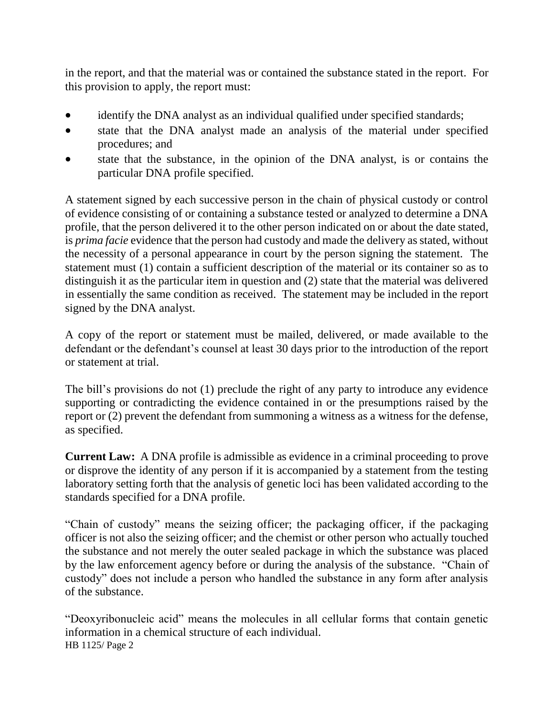in the report, and that the material was or contained the substance stated in the report. For this provision to apply, the report must:

- identify the DNA analyst as an individual qualified under specified standards;
- state that the DNA analyst made an analysis of the material under specified procedures; and
- state that the substance, in the opinion of the DNA analyst, is or contains the particular DNA profile specified.

A statement signed by each successive person in the chain of physical custody or control of evidence consisting of or containing a substance tested or analyzed to determine a DNA profile, that the person delivered it to the other person indicated on or about the date stated, is *prima facie* evidence that the person had custody and made the delivery as stated, without the necessity of a personal appearance in court by the person signing the statement. The statement must (1) contain a sufficient description of the material or its container so as to distinguish it as the particular item in question and (2) state that the material was delivered in essentially the same condition as received. The statement may be included in the report signed by the DNA analyst.

A copy of the report or statement must be mailed, delivered, or made available to the defendant or the defendant's counsel at least 30 days prior to the introduction of the report or statement at trial.

The bill's provisions do not (1) preclude the right of any party to introduce any evidence supporting or contradicting the evidence contained in or the presumptions raised by the report or (2) prevent the defendant from summoning a witness as a witness for the defense, as specified.

**Current Law:** A DNA profile is admissible as evidence in a criminal proceeding to prove or disprove the identity of any person if it is accompanied by a statement from the testing laboratory setting forth that the analysis of genetic loci has been validated according to the standards specified for a DNA profile.

"Chain of custody" means the seizing officer; the packaging officer, if the packaging officer is not also the seizing officer; and the chemist or other person who actually touched the substance and not merely the outer sealed package in which the substance was placed by the law enforcement agency before or during the analysis of the substance. "Chain of custody" does not include a person who handled the substance in any form after analysis of the substance.

HB 1125/ Page 2 "Deoxyribonucleic acid" means the molecules in all cellular forms that contain genetic information in a chemical structure of each individual.